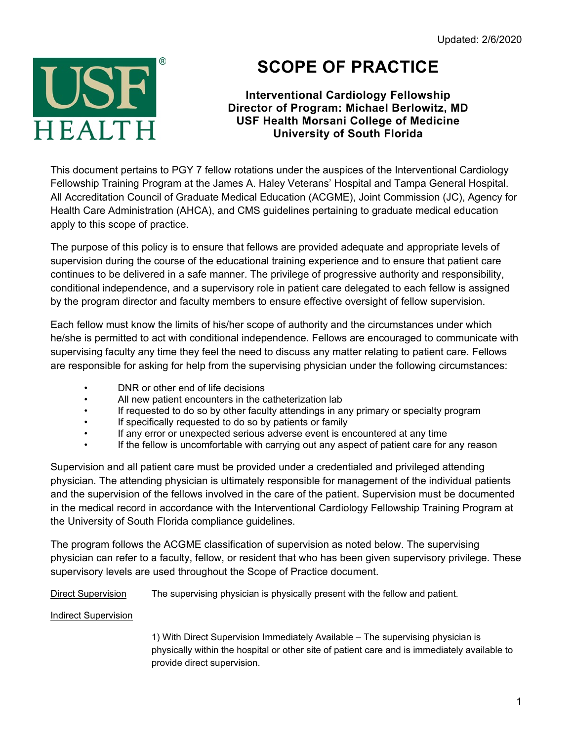

# **SCOPE OF PRACTICE**

## **Interventional Cardiology Fellowship Director of Program: Michael Berlowitz, MD USF Health Morsani College of Medicine University of South Florida**

This document pertains to PGY 7 fellow rotations under the auspices of the Interventional Cardiology Fellowship Training Program at the James A. Haley Veterans' Hospital and Tampa General Hospital. All Accreditation Council of Graduate Medical Education (ACGME), Joint Commission (JC), Agency for Health Care Administration (AHCA), and CMS guidelines pertaining to graduate medical education apply to this scope of practice.

The purpose of this policy is to ensure that fellows are provided adequate and appropriate levels of supervision during the course of the educational training experience and to ensure that patient care continues to be delivered in a safe manner. The privilege of progressive authority and responsibility, conditional independence, and a supervisory role in patient care delegated to each fellow is assigned by the program director and faculty members to ensure effective oversight of fellow supervision.

Each fellow must know the limits of his/her scope of authority and the circumstances under which he/she is permitted to act with conditional independence. Fellows are encouraged to communicate with supervising faculty any time they feel the need to discuss any matter relating to patient care. Fellows are responsible for asking for help from the supervising physician under the following circumstances:

- DNR or other end of life decisions
- All new patient encounters in the catheterization lab
- If requested to do so by other faculty attendings in any primary or specialty program<br>• If specifically requested to do so by patients or family
- If specifically requested to do so by patients or family
- If any error or unexpected serious adverse event is encountered at any time
- If the fellow is uncomfortable with carrying out any aspect of patient care for any reason

Supervision and all patient care must be provided under a credentialed and privileged attending physician. The attending physician is ultimately responsible for management of the individual patients and the supervision of the fellows involved in the care of the patient. Supervision must be documented in the medical record in accordance with the Interventional Cardiology Fellowship Training Program at the University of South Florida compliance guidelines.

The program follows the ACGME classification of supervision as noted below. The supervising physician can refer to a faculty, fellow, or resident that who has been given supervisory privilege. These supervisory levels are used throughout the Scope of Practice document.

Direct Supervision The supervising physician is physically present with the fellow and patient.

## Indirect Supervision

1) With Direct Supervision Immediately Available – The supervising physician is physically within the hospital or other site of patient care and is immediately available to provide direct supervision.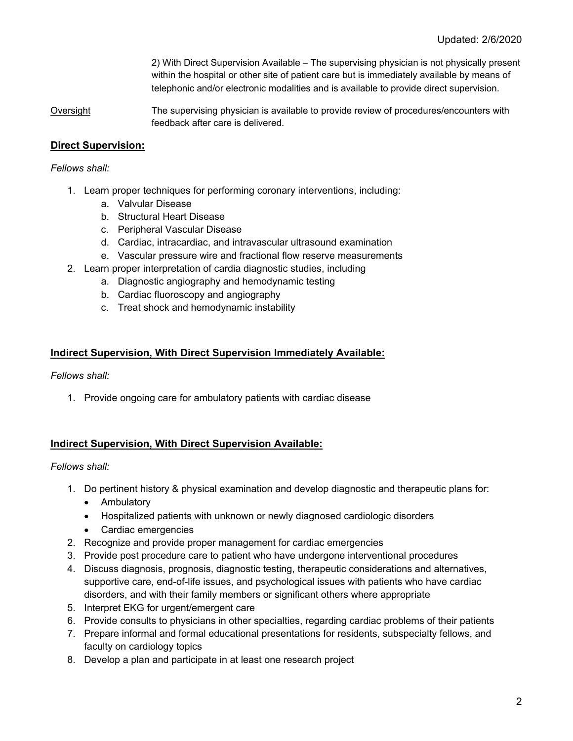2) With Direct Supervision Available – The supervising physician is not physically present within the hospital or other site of patient care but is immediately available by means of telephonic and/or electronic modalities and is available to provide direct supervision.

Oversight The supervising physician is available to provide review of procedures/encounters with feedback after care is delivered.

## **Direct Supervision:**

#### *Fellows shall:*

- 1. Learn proper techniques for performing coronary interventions, including:
	- a. Valvular Disease
	- b. Structural Heart Disease
	- c. Peripheral Vascular Disease
	- d. Cardiac, intracardiac, and intravascular ultrasound examination
	- e. Vascular pressure wire and fractional flow reserve measurements
- 2. Learn proper interpretation of cardia diagnostic studies, including
	- a. Diagnostic angiography and hemodynamic testing
	- b. Cardiac fluoroscopy and angiography
	- c. Treat shock and hemodynamic instability

#### **Indirect Supervision, With Direct Supervision Immediately Available:**

*Fellows shall:*

1. Provide ongoing care for ambulatory patients with cardiac disease

## **Indirect Supervision, With Direct Supervision Available:**

#### *Fellows shall:*

- 1. Do pertinent history & physical examination and develop diagnostic and therapeutic plans for:
	- Ambulatory
	- Hospitalized patients with unknown or newly diagnosed cardiologic disorders
	- Cardiac emergencies
- 2. Recognize and provide proper management for cardiac emergencies
- 3. Provide post procedure care to patient who have undergone interventional procedures
- 4. Discuss diagnosis, prognosis, diagnostic testing, therapeutic considerations and alternatives, supportive care, end-of-life issues, and psychological issues with patients who have cardiac disorders, and with their family members or significant others where appropriate
- 5. Interpret EKG for urgent/emergent care
- 6. Provide consults to physicians in other specialties, regarding cardiac problems of their patients
- 7. Prepare informal and formal educational presentations for residents, subspecialty fellows, and faculty on cardiology topics
- 8. Develop a plan and participate in at least one research project